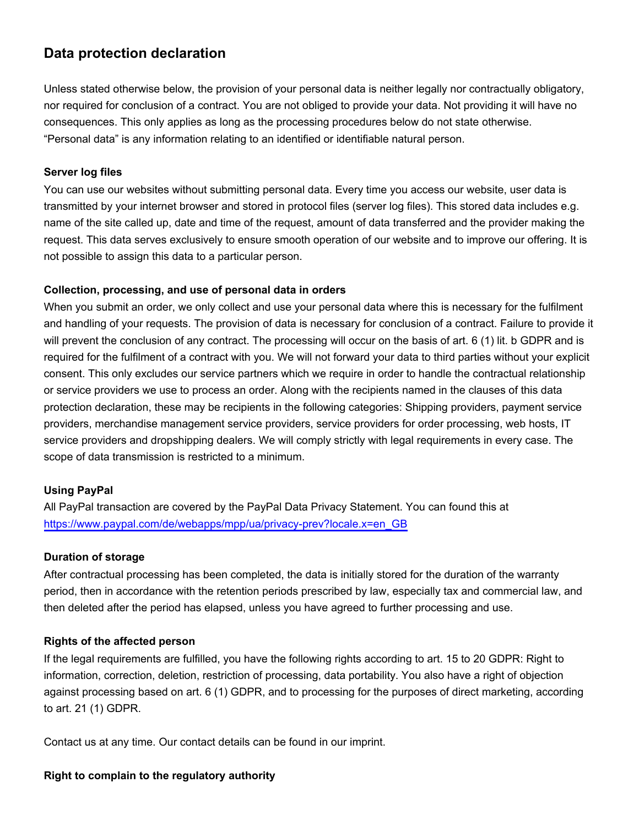# **Data protection declaration**

Unless stated otherwise below, the provision of your personal data is neither legally nor contractually obligatory, nor required for conclusion of a contract. You are not obliged to provide your data. Not providing it will have no consequences. This only applies as long as the processing procedures below do not state otherwise. "Personal data" is any information relating to an identified or identifiable natural person.

## **Server log files**

You can use our websites without submitting personal data. Every time you access our website, user data is transmitted by your internet browser and stored in protocol files (server log files). This stored data includes e.g. name of the site called up, date and time of the request, amount of data transferred and the provider making the request. This data serves exclusively to ensure smooth operation of our website and to improve our offering. It is not possible to assign this data to a particular person.

### **Collection, processing, and use of personal data in orders**

When you submit an order, we only collect and use your personal data where this is necessary for the fulfilment and handling of your requests. The provision of data is necessary for conclusion of a contract. Failure to provide it will prevent the conclusion of any contract. The processing will occur on the basis of art. 6 (1) lit. b GDPR and is required for the fulfilment of a contract with you. We will not forward your data to third parties without your explicit consent. This only excludes our service partners which we require in order to handle the contractual relationship or service providers we use to process an order. Along with the recipients named in the clauses of this data protection declaration, these may be recipients in the following categories: Shipping providers, payment service providers, merchandise management service providers, service providers for order processing, web hosts, IT service providers and dropshipping dealers. We will comply strictly with legal requirements in every case. The scope of data transmission is restricted to a minimum.

### **Using PayPal**

All PayPal transaction are covered by the PayPal Data Privacy Statement. You can found this at [https://www.paypal.com/de/webapps/mpp/ua/privacy-prev?locale.x=en\\_GB](https://www.paypal.com/de/webapps/mpp/ua/privacy-prev?locale.x=en_GB)

### **Duration of storage**

After contractual processing has been completed, the data is initially stored for the duration of the warranty period, then in accordance with the retention periods prescribed by law, especially tax and commercial law, and then deleted after the period has elapsed, unless you have agreed to further processing and use.

### **Rights of the affected person**

If the legal requirements are fulfilled, you have the following rights according to art. 15 to 20 GDPR: Right to information, correction, deletion, restriction of processing, data portability. You also have a right of objection against processing based on art. 6 (1) GDPR, and to processing for the purposes of direct marketing, according to art. 21 (1) GDPR.

Contact us at any time. Our contact details can be found in our imprint.

#### **Right to complain to the regulatory authority**